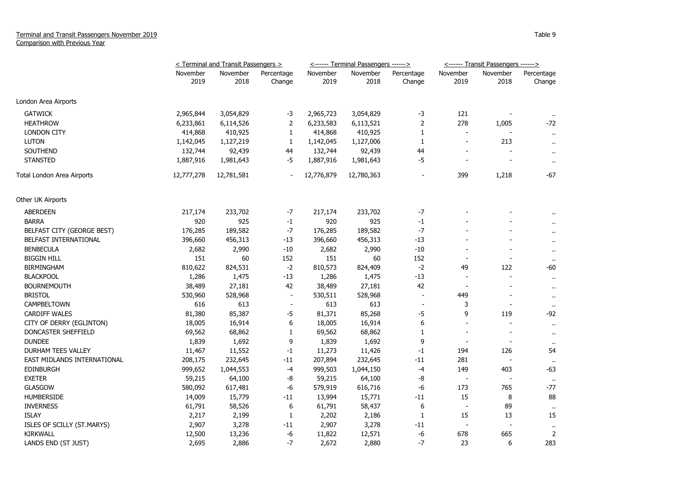|                             | < Terminal and Transit Passengers > |                  |                          |                  | <------ Terminal Passengers ------> |                          | <------ Transit Passengers ------> |                          |                       |
|-----------------------------|-------------------------------------|------------------|--------------------------|------------------|-------------------------------------|--------------------------|------------------------------------|--------------------------|-----------------------|
|                             | November<br>2019                    | November<br>2018 | Percentage<br>Change     | November<br>2019 | November<br>2018                    | Percentage<br>Change     | November<br>2019                   | November<br>2018         | Percentage<br>Change  |
| London Area Airports        |                                     |                  |                          |                  |                                     |                          |                                    |                          |                       |
| <b>GATWICK</b>              | 2,965,844                           | 3,054,829        | -3                       | 2,965,723        | 3,054,829                           | -3                       | 121                                |                          |                       |
| <b>HEATHROW</b>             | 6,233,861                           | 6,114,526        | $\overline{2}$           | 6,233,583        | 6,113,521                           | $\mathbf{2}$             | 278                                | 1,005                    | $\mathbf{H}$<br>$-72$ |
| <b>LONDON CITY</b>          | 414,868                             | 410,925          | $\mathbf{1}$             | 414,868          | 410,925                             | 1                        | $\overline{a}$                     |                          | $\mathbf{u}$          |
| <b>LUTON</b>                | 1,142,045                           | 1,127,219        | $\mathbf{1}$             | 1,142,045        | 1,127,006                           | 1                        | $\overline{\phantom{a}}$           | 213                      | $\ddot{\phantom{a}}$  |
| <b>SOUTHEND</b>             | 132,744                             | 92,439           | 44                       | 132,744          | 92,439                              | 44                       |                                    |                          | $\ddot{\phantom{1}}$  |
| <b>STANSTED</b>             | 1,887,916                           | 1,981,643        | -5                       | 1,887,916        | 1,981,643                           | -5                       |                                    |                          | $\sim$                |
| Total London Area Airports  | 12,777,278                          | 12,781,581       | $\overline{\phantom{a}}$ | 12,776,879       | 12,780,363                          | $\overline{a}$           | 399                                | 1,218                    | -67                   |
| Other UK Airports           |                                     |                  |                          |                  |                                     |                          |                                    |                          |                       |
| <b>ABERDEEN</b>             | 217,174                             | 233,702          | -7                       | 217,174          | 233,702                             | -7                       |                                    |                          |                       |
| <b>BARRA</b>                | 920                                 | 925              | $-1$                     | 920              | 925                                 | $-1$                     |                                    |                          | $\ddot{\phantom{a}}$  |
| BELFAST CITY (GEORGE BEST)  | 176,285                             | 189,582          | $-7$                     | 176,285          | 189,582                             | $-7$                     |                                    |                          | $\ddot{\phantom{a}}$  |
| BELFAST INTERNATIONAL       | 396,660                             | 456,313          | $-13$                    | 396,660          | 456,313                             | $-13$                    |                                    |                          | $\ddot{\phantom{1}}$  |
| <b>BENBECULA</b>            | 2,682                               | 2,990            | $-10$                    | 2,682            | 2,990                               | $-10$                    |                                    |                          | $\sim$                |
| <b>BIGGIN HILL</b>          | 151                                 | 60               | 152                      | 151              | 60                                  | 152                      |                                    |                          | $\mathbf{H}$          |
| <b>BIRMINGHAM</b>           | 810,622                             | 824,531          | $-2$                     | 810,573          | 824,409                             | $-2$                     | 49                                 | 122                      | -60                   |
| <b>BLACKPOOL</b>            | 1,286                               | 1,475            | $-13$                    | 1,286            | 1,475                               | $-13$                    | $\overline{\phantom{a}}$           | L,                       | $\sim$                |
| <b>BOURNEMOUTH</b>          | 38,489                              | 27,181           | 42                       | 38,489           | 27,181                              | 42                       | $\overline{\phantom{a}}$           | L,                       | $\ddot{\phantom{1}}$  |
| <b>BRISTOL</b>              | 530,960                             | 528,968          | $\blacksquare$           | 530,511          | 528,968                             | $\overline{\phantom{a}}$ | 449                                |                          | $\mathbf{u}$          |
| CAMPBELTOWN                 | 616                                 | 613              | $\overline{\phantom{a}}$ | 613              | 613                                 |                          | 3                                  |                          | $\sim$                |
| <b>CARDIFF WALES</b>        | 81,380                              | 85,387           | -5                       | 81,371           | 85,268                              | -5                       | 9                                  | 119                      | -92                   |
| CITY OF DERRY (EGLINTON)    | 18,005                              | 16,914           | 6                        | 18,005           | 16,914                              | 6                        |                                    |                          | $\ddot{\phantom{1}}$  |
| DONCASTER SHEFFIELD         | 69,562                              | 68,862           | $\mathbf{1}$             | 69,562           | 68,862                              | $\mathbf{1}$             | $\blacksquare$                     |                          | $\bullet$             |
| <b>DUNDEE</b>               | 1,839                               | 1,692            | 9                        | 1,839            | 1,692                               | 9                        | $\overline{\phantom{a}}$           | $\overline{\phantom{a}}$ | $\mathbf{u}$          |
| DURHAM TEES VALLEY          | 11,467                              | 11,552           | $-1$                     | 11,273           | 11,426                              | -1                       | 194                                | 126                      | 54                    |
| EAST MIDLANDS INTERNATIONAL | 208,175                             | 232,645          | -11                      | 207,894          | 232,645                             | $-11$                    | 281                                | $\overline{\phantom{a}}$ | $\sim$                |
| <b>EDINBURGH</b>            | 999,652                             | 1,044,553        | $-4$                     | 999,503          | 1,044,150                           | $-4$                     | 149                                | 403                      | $-63$                 |
| <b>EXETER</b>               | 59,215                              | 64,100           | -8                       | 59,215           | 64,100                              | -8                       |                                    |                          | $\mathbf{u}$          |
| <b>GLASGOW</b>              | 580,092                             | 617,481          | -6                       | 579,919          | 616,716                             | -6                       | 173                                | 765                      | -77                   |
| <b>HUMBERSIDE</b>           | 14,009                              | 15,779           | -11                      | 13,994           | 15,771                              | -11                      | 15                                 | 8                        | 88                    |
| <b>INVERNESS</b>            | 61,791                              | 58,526           | 6                        | 61,791           | 58,437                              | 6                        | $\overline{\phantom{a}}$           | 89                       | $\sim$                |
| <b>ISLAY</b>                | 2,217                               | 2,199            | $\mathbf{1}$             | 2,202            | 2,186                               | 1                        | 15                                 | 13                       | 15                    |
| ISLES OF SCILLY (ST.MARYS)  | 2,907                               | 3,278            | -11                      | 2,907            | 3,278                               | -11                      | $\overline{\phantom{a}}$           |                          | $\bullet\bullet$      |
| <b>KIRKWALL</b>             | 12,500                              | 13,236           | -6                       | 11,822           | 12,571                              | -6                       | 678                                | 665                      | $\overline{2}$        |
| LANDS END (ST JUST)         | 2,695                               | 2,886            | $-7$                     | 2,672            | 2,880                               | $-7$                     | 23                                 | 6                        | 283                   |